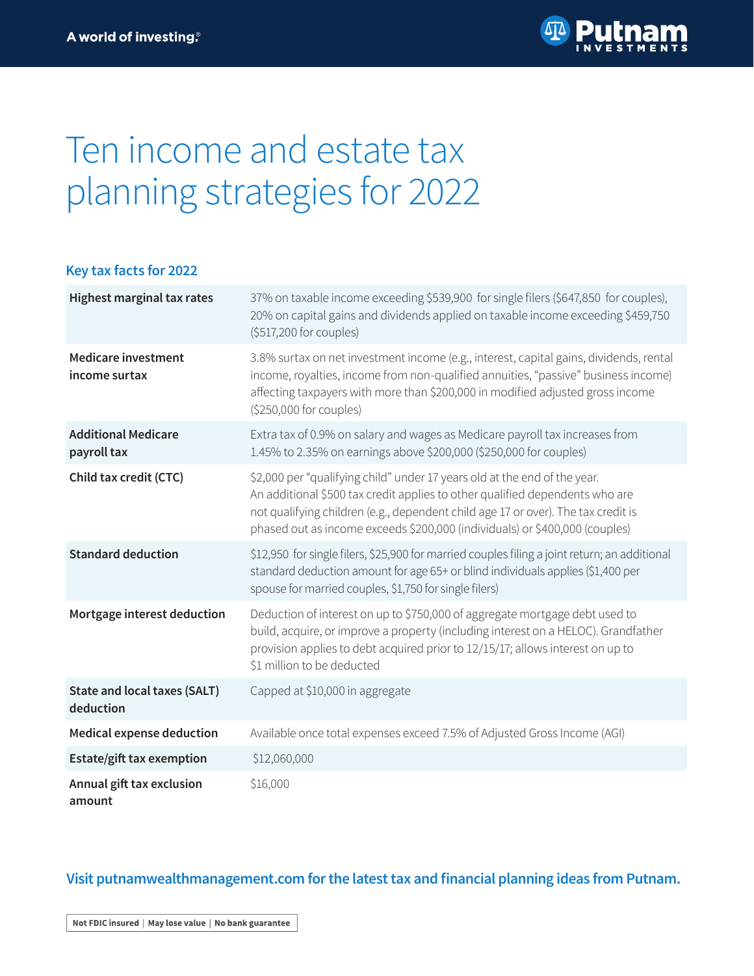

# Ten income and estate tax planning strategies for 2022

### **Key tax facts for 2022**

| <b>Highest marginal tax rates</b>                | 37% on taxable income exceeding \$539,900 for single filers (\$647,850 for couples),<br>20% on capital gains and dividends applied on taxable income exceeding \$459,750<br>(\$517,200 for couples)                                                                                                                           |
|--------------------------------------------------|-------------------------------------------------------------------------------------------------------------------------------------------------------------------------------------------------------------------------------------------------------------------------------------------------------------------------------|
| <b>Medicare investment</b><br>income surtax      | 3.8% surtax on net investment income (e.g., interest, capital gains, dividends, rental<br>income, royalties, income from non-qualified annuities, "passive" business income)<br>affecting taxpayers with more than \$200,000 in modified adjusted gross income<br>(\$250,000 for couples)                                     |
| <b>Additional Medicare</b><br>payroll tax        | Extra tax of 0.9% on salary and wages as Medicare payroll tax increases from<br>1.45% to 2.35% on earnings above \$200,000 (\$250,000 for couples)                                                                                                                                                                            |
| Child tax credit (CTC)                           | \$2,000 per "qualifying child" under 17 years old at the end of the year.<br>An additional \$500 tax credit applies to other qualified dependents who are<br>not qualifying children (e.g., dependent child age 17 or over). The tax credit is<br>phased out as income exceeds \$200,000 (individuals) or \$400,000 (couples) |
| <b>Standard deduction</b>                        | \$12,950 for single filers, \$25,900 for married couples filing a joint return; an additional<br>standard deduction amount for age 65+ or blind individuals applies (\$1,400 per<br>spouse for married couples, \$1,750 for single filers)                                                                                    |
| Mortgage interest deduction                      | Deduction of interest on up to \$750,000 of aggregate mortgage debt used to<br>build, acquire, or improve a property (including interest on a HELOC). Grandfather<br>provision applies to debt acquired prior to 12/15/17; allows interest on up to<br>\$1 million to be deducted                                             |
| <b>State and local taxes (SALT)</b><br>deduction | Capped at \$10,000 in aggregate                                                                                                                                                                                                                                                                                               |
| <b>Medical expense deduction</b>                 | Available once total expenses exceed 7.5% of Adjusted Gross Income (AGI)                                                                                                                                                                                                                                                      |
| Estate/gift tax exemption                        | \$12,060,000                                                                                                                                                                                                                                                                                                                  |
| Annual gift tax exclusion<br>amount              | \$16,000                                                                                                                                                                                                                                                                                                                      |

# **Visit [putnamwealthmanagement.com](https://www.putnamwealthmanagement.com?ref=II922.pdf) for the latest tax and financial planning ideas from Putnam.**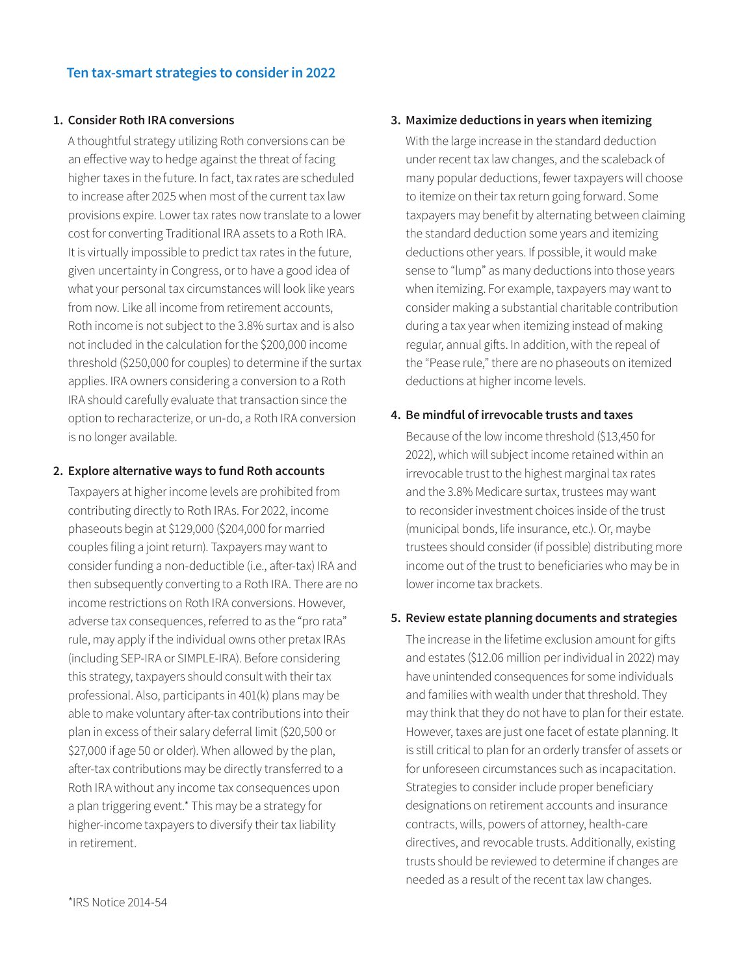#### **1. Consider Roth IRA conversions**

A thoughtful strategy utilizing Roth conversions can be an effective way to hedge against the threat of facing higher taxes in the future. In fact, tax rates are scheduled to increase after 2025 when most of the current tax law provisions expire. Lower tax rates now translate to a lower cost for converting Traditional IRA assets to a Roth IRA. It is virtually impossible to predict tax rates in the future, given uncertainty in Congress, or to have a good idea of what your personal tax circumstances will look like years from now. Like all income from retirement accounts, Roth income is not subject to the 3.8% surtax and is also not included in the calculation for the \$200,000 income threshold (\$250,000 for couples) to determine if the surtax applies. IRA owners considering a conversion to a Roth IRA should carefully evaluate that transaction since the option to recharacterize, or un-do, a Roth IRA conversion is no longer available.

### **2. Explore alternative ways to fund Roth accounts**

Taxpayers at higher income levels are prohibited from contributing directly to Roth IRAs. For 2022, income phaseouts begin at \$129,000 (\$204,000 for married couples filing a joint return). Taxpayers may want to consider funding a non-deductible (i.e., after-tax) IRA and then subsequently converting to a Roth IRA. There are no income restrictions on Roth IRA conversions. However, adverse tax consequences, referred to as the "pro rata" rule, may apply if the individual owns other pretax IRAs (including SEP-IRA or SIMPLE-IRA). Before considering this strategy, taxpayers should consult with their tax professional. Also, participants in 401(k) plans may be able to make voluntary after-tax contributions into their plan in excess of their salary deferral limit (\$20,500 or \$27,000 if age 50 or older). When allowed by the plan, after-tax contributions may be directly transferred to a Roth IRA without any income tax consequences upon a plan triggering event.\* This may be a strategy for higher-income taxpayers to diversify their tax liability in retirement.

#### **3. Maximize deductions in years when itemizing**

With the large increase in the standard deduction under recent tax law changes, and the scaleback of many popular deductions, fewer taxpayers will choose to itemize on their tax return going forward. Some taxpayers may benefit by alternating between claiming the standard deduction some years and itemizing deductions other years. If possible, it would make sense to "lump" as many deductions into those years when itemizing. For example, taxpayers may want to consider making a substantial charitable contribution during a tax year when itemizing instead of making regular, annual gifts. In addition, with the repeal of the "Pease rule," there are no phaseouts on itemized deductions at higher income levels.

# **4. Be mindful of irrevocable trusts and taxes**

Because of the low income threshold (\$13,450 for 2022), which will subject income retained within an irrevocable trust to the highest marginal tax rates and the 3.8% Medicare surtax, trustees may want to reconsider investment choices inside of the trust (municipal bonds, life insurance, etc.). Or, maybe trustees should consider (if possible) distributing more income out of the trust to beneficiaries who may be in lower income tax brackets.

#### **5. Review estate planning documents and strategies**

The increase in the lifetime exclusion amount for gifts and estates (\$12.06 million per individual in 2022) may have unintended consequences for some individuals and families with wealth under that threshold. They may think that they do not have to plan for their estate. However, taxes are just one facet of estate planning. It is still critical to plan for an orderly transfer of assets or for unforeseen circumstances such as incapacitation. Strategies to consider include proper beneficiary designations on retirement accounts and insurance contracts, wills, powers of attorney, health-care directives, and revocable trusts. Additionally, existing trusts should be reviewed to determine if changes are needed as a result of the recent tax law changes.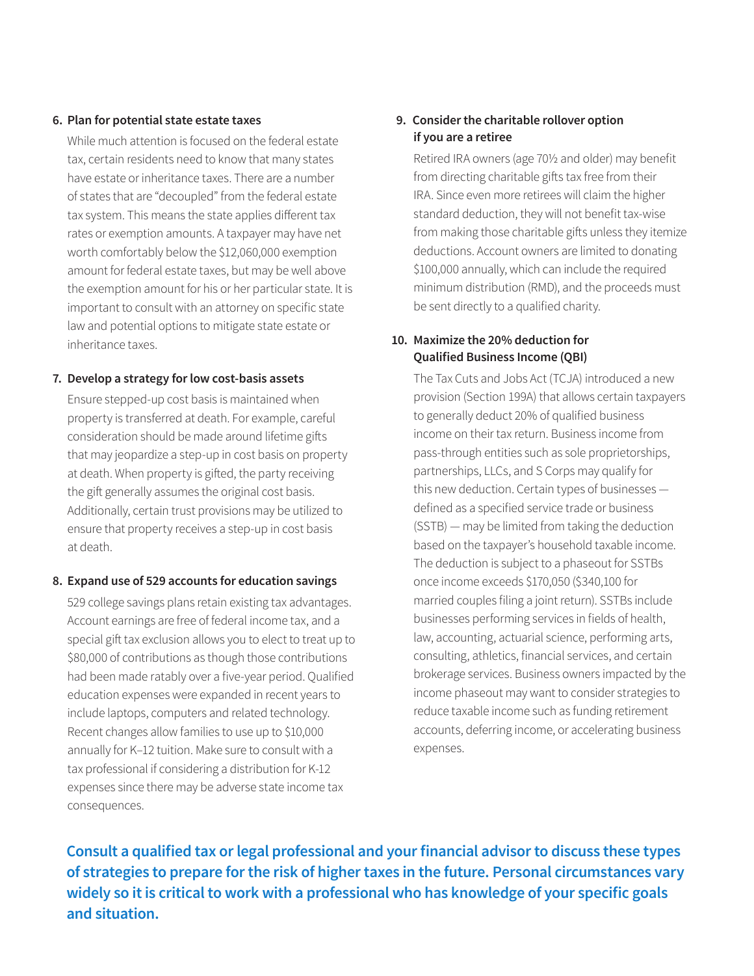#### **6. Plan for potential state estate taxes**

While much attention is focused on the federal estate tax, certain residents need to know that many states have estate or inheritance taxes. There are a number of states that are "decoupled" from the federal estate tax system. This means the state applies different tax rates or exemption amounts. A taxpayer may have net worth comfortably below the \$12,060,000 exemption amount for federal estate taxes, but may be well above the exemption amount for his or her particular state. It is important to consult with an attorney on specific state law and potential options to mitigate state estate or inheritance taxes.

#### **7. Develop a strategy for low cost-basis assets**

Ensure stepped-up cost basis is maintained when property is transferred at death. For example, careful consideration should be made around lifetime gifts that may jeopardize a step-up in cost basis on property at death. When property is gifted, the party receiving the gift generally assumes the original cost basis. Additionally, certain trust provisions may be utilized to ensure that property receives a step-up in cost basis at death.

# **8. Expand use of 529 accounts for education savings**

529 college savings plans retain existing tax advantages. Account earnings are free of federal income tax, and a special gift tax exclusion allows you to elect to treat up to \$80,000 of contributions as though those contributions had been made ratably over a five-year period. Qualified education expenses were expanded in recent years to include laptops, computers and related technology. Recent changes allow families to use up to \$10,000 annually for K–12 tuition. Make sure to consult with a tax professional if considering a distribution for K-12 expenses since there may be adverse state income tax consequences.

# **9. Consider the charitable rollover option if you are a retiree**

Retired IRA owners (age 70½ and older) may benefit from directing charitable gifts tax free from their IRA. Since even more retirees will claim the higher standard deduction, they will not benefit tax-wise from making those charitable gifts unless they itemize deductions. Account owners are limited to donating \$100,000 annually, which can include the required minimum distribution (RMD), and the proceeds must be sent directly to a qualified charity.

# **10. Maximize the 20% deduction for Qualified Business Income (QBI)**

The Tax Cuts and Jobs Act (TCJA) introduced a new provision (Section 199A) that allows certain taxpayers to generally deduct 20% of qualified business income on their tax return. Business income from pass-through entities such as sole proprietorships, partnerships, LLCs, and S Corps may qualify for this new deduction. Certain types of businesses defined as a specified service trade or business (SSTB) — may be limited from taking the deduction based on the taxpayer's household taxable income. The deduction is subject to a phaseout for SSTBs once income exceeds \$170,050 (\$340,100 for married couples filing a joint return). SSTBs include businesses performing services in fields of health, law, accounting, actuarial science, performing arts, consulting, athletics, financial services, and certain brokerage services. Business owners impacted by the income phaseout may want to consider strategies to reduce taxable income such as funding retirement accounts, deferring income, or accelerating business expenses.

**Consult a qualified tax or legal professional and your financial advisor to discuss these types of strategies to prepare for the risk of higher taxes in the future. Personal circumstances vary widely so it is critical to work with a professional who has knowledge of your specific goals and situation.**